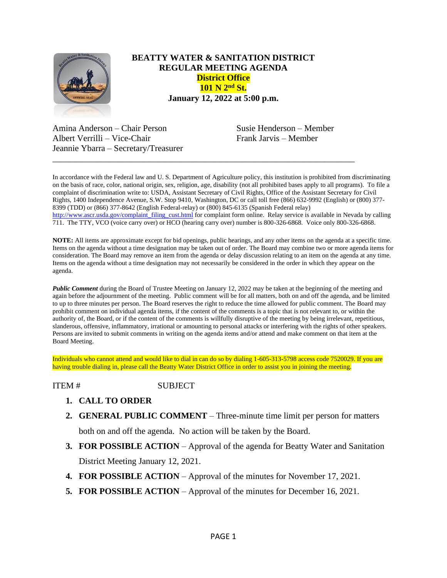

## **BEATTY WATER & SANITATION DISTRICT REGULAR MEETING AGENDA District Office 101 N 2nd St. January 12, 2022 at 5:00 p.m.**

Amina Anderson – Chair Person Susie Henderson – Member Albert Verrilli – Vice-Chair Frank Jarvis – Member Jeannie Ybarra – Secretary/Treasurer

In accordance with the Federal law and U. S. Department of Agriculture policy, this institution is prohibited from discriminating on the basis of race, color, national origin, sex, religion, age, disability (not all prohibited bases apply to all programs). To file a complaint of discrimination write to: USDA, Assistant Secretary of Civil Rights, Office of the Assistant Secretary for Civil Rights, 1400 Independence Avenue, S.W. Stop 9410, Washington, DC or call toll free (866) 632-9992 (English) or (800) 377- 8399 (TDD) or (866) 377-8642 (English Federal-relay) or (800) 845-6135 (Spanish Federal relay) [http://www.ascr.usda.gov/complaint\\_filing\\_cust.html](http://www.ascr.usda.gov/complaint_filing_cust.html) for complaint form online. Relay service is available in Nevada by calling 711. The TTY, VCO (voice carry over) or HCO (hearing carry over) number is 800-326-6868. Voice only 800-326-6868.

\_\_\_\_\_\_\_\_\_\_\_\_\_\_\_\_\_\_\_\_\_\_\_\_\_\_\_\_\_\_\_\_\_\_\_\_\_\_\_\_\_\_\_\_\_\_\_\_\_\_\_\_\_\_\_\_\_\_\_\_\_\_\_\_\_\_\_\_\_

**NOTE:** All items are approximate except for bid openings, public hearings, and any other items on the agenda at a specific time. Items on the agenda without a time designation may be taken out of order. The Board may combine two or more agenda items for consideration. The Board may remove an item from the agenda or delay discussion relating to an item on the agenda at any time. Items on the agenda without a time designation may not necessarily be considered in the order in which they appear on the agenda.

*Public Comment* during the Board of Trustee Meeting on January 12, 2022 may be taken at the beginning of the meeting and again before the adjournment of the meeting. Public comment will be for all matters, both on and off the agenda, and be limited to up to three minutes per person. The Board reserves the right to reduce the time allowed for public comment. The Board may prohibit comment on individual agenda items, if the content of the comments is a topic that is not relevant to, or within the authority of, the Board, or if the content of the comments is willfully disruptive of the meeting by being irrelevant, repetitious, slanderous, offensive, inflammatory, irrational or amounting to personal attacks or interfering with the rights of other speakers. Persons are invited to submit comments in writing on the agenda items and/or attend and make comment on that item at the Board Meeting.

Individuals who cannot attend and would like to dial in can do so by dialing 1-605-313-5798 access code 7520029. If you are having trouble dialing in, please call the Beatty Water District Office in order to assist you in joining the meeting.

ITEM # SUBJECT

- **1. CALL TO ORDER**
- **2. GENERAL PUBLIC COMMENT** Three-minute time limit per person for matters

both on and off the agenda. No action will be taken by the Board.

- **3. FOR POSSIBLE ACTION** Approval of the agenda for Beatty Water and Sanitation District Meeting January 12, 2021.
- **4. FOR POSSIBLE ACTION** Approval of the minutes for November 17, 2021.
- **5. FOR POSSIBLE ACTION** Approval of the minutes for December 16, 2021.